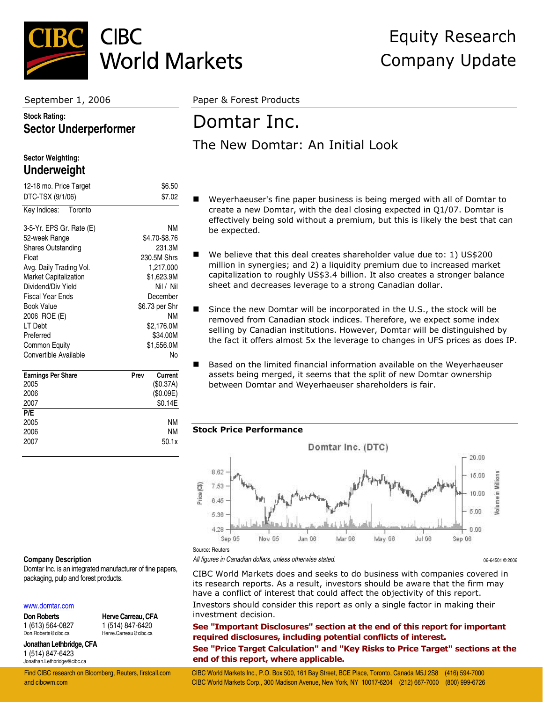

#### **Stock Rating: Sector Underperformer**

#### **Sector Weighting: Underweight**

| 12-18 mo. Price Target<br>DTC-TSX (9/1/06) | \$6.50<br>\$7.02 |
|--------------------------------------------|------------------|
|                                            |                  |
| Key Indices: Toronto                       |                  |
| 3-5-Yr. EPS Gr. Rate (E)                   | ΝM               |
| 52-week Range                              | \$4.70-\$8.76    |
| <b>Shares Outstanding</b>                  | 231.3M           |
| Float                                      | 230.5M Shrs      |
| Avg. Daily Trading Vol.                    | 1,217,000        |
| Market Capitalization                      | \$1,623.9M       |
| Dividend/Div Yield                         | Nil / Nil        |
| <b>Fiscal Year Ends</b>                    | December         |
| Book Value                                 | \$6.73 per Shr   |
| 2006 ROE (E)                               | ΝM               |
| LT Debt                                    | \$2,176.0M       |
| Preferred                                  | \$34.00M         |
| Common Equity                              | \$1,556.0M       |
| Convertible Available                      | No               |
|                                            |                  |
| <b>Earnings Per Share</b>                  | Current<br>Prev  |
| 2005                                       | (S0.37A)         |
| 2006                                       | (\$0.09E)        |

| 2007 | \$0.14E |
|------|---------|
| P/E  |         |
| 2005 | ΝM      |
| 2006 | ΝM      |
| 2007 | 50.1x   |
|      |         |

September 1, 2006 Paper & Forest Products

## Domtar Inc. The New Domtar: An Initial Look

- Weyerhaeuser's fine paper business is being merged with all of Domtar to create a new Domtar, with the deal closing expected in Q1/07. Domtar is effectively being sold without a premium, but this is likely the best that can be expected.
- We believe that this deal creates shareholder value due to: 1) US\$200 million in synergies; and 2) a liquidity premium due to increased market capitalization to roughly US\$3.4 billion. It also creates a stronger balance sheet and decreases leverage to a strong Canadian dollar.
- Since the new Domtar will be incorporated in the U.S., the stock will be removed from Canadian stock indices. Therefore, we expect some index selling by Canadian institutions. However, Domtar will be distinguished by the fact it offers almost 5x the leverage to changes in UFS prices as does IP.
- Based on the limited financial information available on the Weyerhaeuser assets being merged, it seems that the split of new Domtar ownership between Domtar and Weyerhaeuser shareholders is fair.

#### **Stock Price Performance**



#### **Company Description**

Domtar Inc. is an integrated manufacturer of fine papers, packaging, pulp and forest products.

#### [www.domtar.com](http://www.domtar.com/)

**Don Roberts** 1 (613) 564-0827 Don.Roberts@cibc.ca

**Herve Carreau, CFA** 1 (514) 847-6420 Herve.Carreau@cibc.ca

**Jonathan Lethbridge, CFA** 1 (514) 847-6423 Jonathan.Lethbridge@cibc.ca

*All figures in Canadian dollars, unless otherwise stated.* 06-64501 © 2006

CIBC World Markets does and seeks to do business with companies covered in its research reports. As a result, investors should be aware that the firm may have a conflict of interest that could affect the objectivity of this report. Investors should consider this report as only a single factor in making their investment decision.

**See "Important Disclosures" section at the end of this report for important required disclosures, including potential conflicts of interest.** 

**See "Price Target Calculation" and "Key Risks to Price Target" sections at the end of this report, where applicable.** 

Find CIBC research on Bloomberg, Reuters, firstcall.com CIBC World Markets Inc., P.O. Box 500, 161 Bay Street, BCE Place, Toronto, Canada M5J 2S8 (416) 594-7000 and cibcwm.com CIBC World Markets Corp., 300 Madison Avenue, New York, NY 10017-6204 (212) 667-7000 (800) 999-6726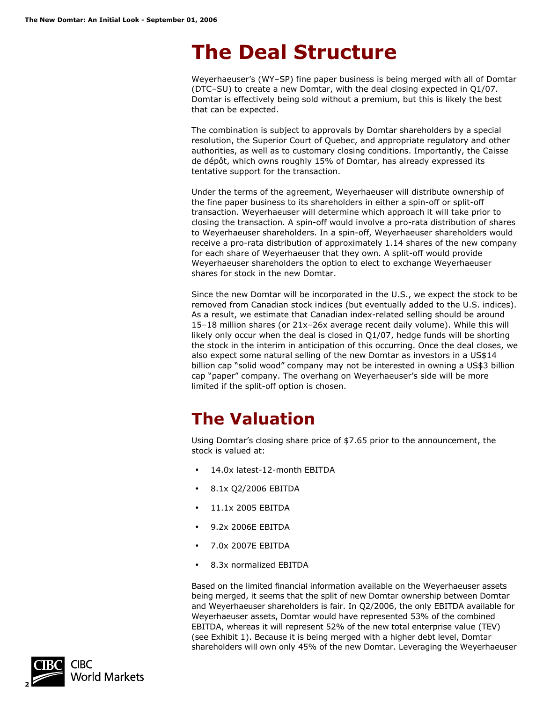# **The Deal Structure**

Weyerhaeuser's (WY–SP) fine paper business is being merged with all of Domtar (DTC–SU) to create a new Domtar, with the deal closing expected in Q1/07. Domtar is effectively being sold without a premium, but this is likely the best that can be expected.

The combination is subject to approvals by Domtar shareholders by a special resolution, the Superior Court of Quebec, and appropriate regulatory and other authorities, as well as to customary closing conditions. Importantly, the Caisse de dépôt, which owns roughly 15% of Domtar, has already expressed its tentative support for the transaction.

Under the terms of the agreement, Weyerhaeuser will distribute ownership of the fine paper business to its shareholders in either a spin-off or split-off transaction. Weyerhaeuser will determine which approach it will take prior to closing the transaction. A spin-off would involve a pro-rata distribution of shares to Weyerhaeuser shareholders. In a spin-off, Weyerhaeuser shareholders would receive a pro-rata distribution of approximately 1.14 shares of the new company for each share of Weyerhaeuser that they own. A split-off would provide Weyerhaeuser shareholders the option to elect to exchange Weyerhaeuser shares for stock in the new Domtar.

Since the new Domtar will be incorporated in the U.S., we expect the stock to be removed from Canadian stock indices (but eventually added to the U.S. indices). As a result, we estimate that Canadian index-related selling should be around 15–18 million shares (or 21x–26x average recent daily volume). While this will likely only occur when the deal is closed in Q1/07, hedge funds will be shorting the stock in the interim in anticipation of this occurring. Once the deal closes, we also expect some natural selling of the new Domtar as investors in a US\$14 billion cap "solid wood" company may not be interested in owning a US\$3 billion cap "paper" company. The overhang on Weyerhaeuser's side will be more limited if the split-off option is chosen.

## **The Valuation**

Using Domtar's closing share price of \$7.65 prior to the announcement, the stock is valued at:

- 14.0x latest-12-month EBITDA
- 8.1x Q2/2006 EBITDA
- 11.1x 2005 EBITDA
- 9.2x 2006E EBITDA
- 7.0x 2007E EBITDA
- 8.3x normalized EBITDA

Based on the limited financial information available on the Weyerhaeuser assets being merged, it seems that the split of new Domtar ownership between Domtar and Weyerhaeuser shareholders is fair. In Q2/2006, the only EBITDA available for Weyerhaeuser assets, Domtar would have represented 53% of the combined EBITDA, whereas it will represent 52% of the new total enterprise value (TEV) (see Exhibit 1). Because it is being merged with a higher debt level, Domtar shareholders will own only 45% of the new Domtar. Leveraging the Weyerhaeuser

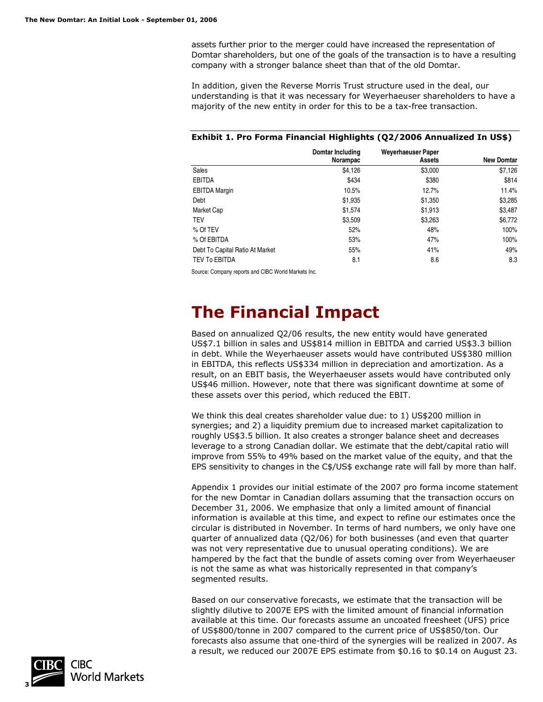assets further prior to the merger could have increased the representation of Domtar shareholders, but one of the goals of the transaction is to have a resulting company with a stronger balance sheet than that of the old Domtar.

In addition, given the Reverse Morris Trust structure used in the deal, our understanding is that it was necessary for Weyerhaeuser shareholders to have a majority of the new entity in order for this to be a tax-free transaction.

#### **Exhibit 1. Pro Forma Financial Highlights (Q2/2006 Annualized In US\$)**

|                                 | Domtar Including<br>Norampac | Weverhaeuser Paper<br>Assets | <b>New Domtar</b> |
|---------------------------------|------------------------------|------------------------------|-------------------|
| <b>Sales</b>                    | \$4,126                      | \$3,000                      | \$7,126           |
| <b>EBITDA</b>                   | \$434                        | \$380                        | \$814             |
| <b>EBITDA Margin</b>            | 10.5%                        | 12.7%                        | 11.4%             |
| Debt                            | \$1,935                      | \$1,350                      | \$3,285           |
| Market Cap                      | \$1,574                      | \$1,913                      | \$3,487           |
| <b>TEV</b>                      | \$3,509                      | \$3,263                      | \$6,772           |
| % Of TEV                        | 52%                          | 48%                          | 100%              |
| % Of EBITDA                     | 53%                          | 47%                          | 100%              |
| Debt To Capital Ratio At Market | 55%                          | 41%                          | 49%               |
| <b>TEV To EBITDA</b>            | 8.1                          | 8.6                          | 8.3               |

Source: Company reports and CIBC World Markets Inc.

## **The Financial Impact**

Based on annualized Q2/06 results, the new entity would have generated US\$7.1 billion in sales and US\$814 million in EBITDA and carried US\$3.3 billion in debt. While the Weyerhaeuser assets would have contributed US\$380 million in EBITDA, this reflects US\$334 million in depreciation and amortization. As a result, on an EBIT basis, the Weyerhaeuser assets would have contributed only US\$46 million. However, note that there was significant downtime at some of these assets over this period, which reduced the EBIT.

We think this deal creates shareholder value due: to 1) US\$200 million in synergies; and 2) a liquidity premium due to increased market capitalization to roughly US\$3.5 billion. It also creates a stronger balance sheet and decreases leverage to a strong Canadian dollar. We estimate that the debt/capital ratio will improve from 55% to 49% based on the market value of the equity, and that the EPS sensitivity to changes in the C\$/US\$ exchange rate will fall by more than half.

Appendix 1 provides our initial estimate of the 2007 pro forma income statement for the new Domtar in Canadian dollars assuming that the transaction occurs on December 31, 2006. We emphasize that only a limited amount of financial information is available at this time, and expect to refine our estimates once the circular is distributed in November. In terms of hard numbers, we only have one quarter of annualized data (Q2/06) for both businesses (and even that quarter was not very representative due to unusual operating conditions). We are hampered by the fact that the bundle of assets coming over from Weyerhaeuser is not the same as what was historically represented in that company's segmented results.

Based on our conservative forecasts, we estimate that the transaction will be slightly dilutive to 2007E EPS with the limited amount of financial information available at this time. Our forecasts assume an uncoated freesheet (UFS) price of US\$800/tonne in 2007 compared to the current price of US\$850/ton. Our forecasts also assume that one-third of the synergies will be realized in 2007. As a result, we reduced our 2007E EPS estimate from \$0.16 to \$0.14 on August 23.

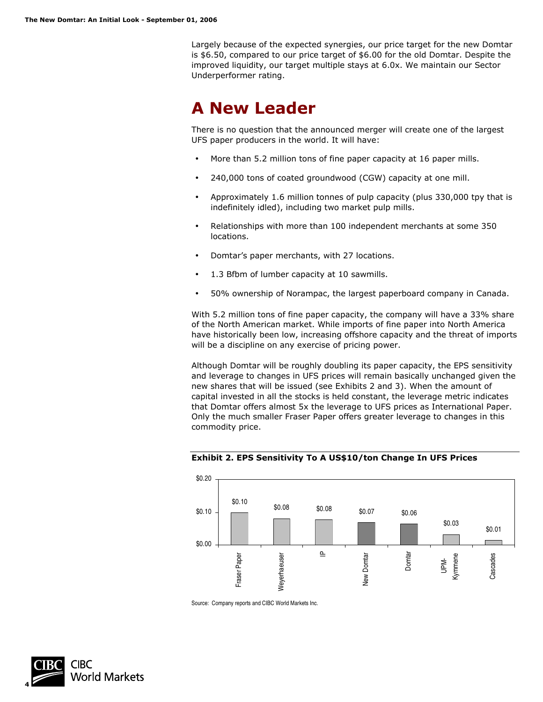Largely because of the expected synergies, our price target for the new Domtar is \$6.50, compared to our price target of \$6.00 for the old Domtar. Despite the improved liquidity, our target multiple stays at 6.0x. We maintain our Sector Underperformer rating.

## **A New Leader**

There is no question that the announced merger will create one of the largest UFS paper producers in the world. It will have:

- More than 5.2 million tons of fine paper capacity at 16 paper mills.
- 240,000 tons of coated groundwood (CGW) capacity at one mill.
- Approximately 1.6 million tonnes of pulp capacity (plus 330,000 tpy that is indefinitely idled), including two market pulp mills.
- Relationships with more than 100 independent merchants at some 350 locations.
- Domtar's paper merchants, with 27 locations.
- 1.3 Bfbm of lumber capacity at 10 sawmills.
- 50% ownership of Norampac, the largest paperboard company in Canada.

With 5.2 million tons of fine paper capacity, the company will have a 33% share of the North American market. While imports of fine paper into North America have historically been low, increasing offshore capacity and the threat of imports will be a discipline on any exercise of pricing power.

Although Domtar will be roughly doubling its paper capacity, the EPS sensitivity and leverage to changes in UFS prices will remain basically unchanged given the new shares that will be issued (see Exhibits 2 and 3). When the amount of capital invested in all the stocks is held constant, the leverage metric indicates that Domtar offers almost 5x the leverage to UFS prices as International Paper. Only the much smaller Fraser Paper offers greater leverage to changes in this commodity price.





Source: Company reports and CIBC World Markets Inc.

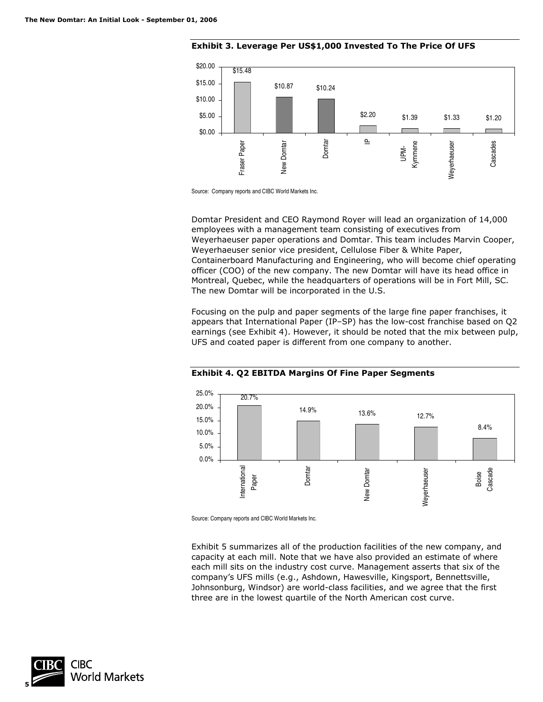

**Exhibit 3. Leverage Per US\$1,000 Invested To The Price Of UFS** 

Domtar President and CEO Raymond Royer will lead an organization of 14,000 employees with a management team consisting of executives from Weyerhaeuser paper operations and Domtar. This team includes Marvin Cooper, Weyerhaeuser senior vice president, Cellulose Fiber & White Paper, Containerboard Manufacturing and Engineering, who will become chief operating officer (COO) of the new company. The new Domtar will have its head office in Montreal, Quebec, while the headquarters of operations will be in Fort Mill, SC. The new Domtar will be incorporated in the U.S.

Focusing on the pulp and paper segments of the large fine paper franchises, it appears that International Paper (IP–SP) has the low-cost franchise based on Q2 earnings (see Exhibit 4). However, it should be noted that the mix between pulp, UFS and coated paper is different from one company to another.



**Exhibit 4. Q2 EBITDA Margins Of Fine Paper Segments** 

Source: Company reports and CIBC World Markets Inc.

Exhibit 5 summarizes all of the production facilities of the new company, and capacity at each mill. Note that we have also provided an estimate of where each mill sits on the industry cost curve. Management asserts that six of the company's UFS mills (e.g., Ashdown, Hawesville, Kingsport, Bennettsville, Johnsonburg, Windsor) are world-class facilities, and we agree that the first three are in the lowest quartile of the North American cost curve.



Source: Company reports and CIBC World Markets Inc.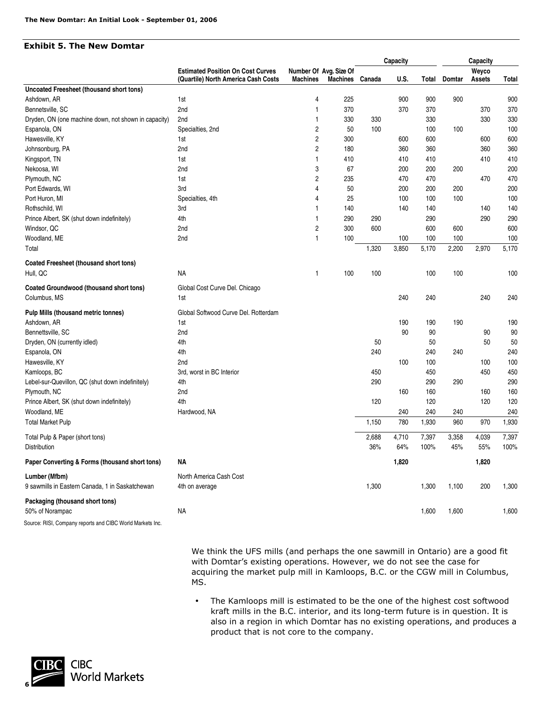#### **Exhibit 5. The New Domtar**

|                                                           |                                                                                 |                 |                                           |        | Capacity |       |        | Capacity        |       |
|-----------------------------------------------------------|---------------------------------------------------------------------------------|-----------------|-------------------------------------------|--------|----------|-------|--------|-----------------|-------|
|                                                           | <b>Estimated Position On Cost Curves</b><br>(Quartile) North America Cash Costs | <b>Machines</b> | Number Of Avg. Size Of<br><b>Machines</b> | Canada | U.S.     | Total | Domtar | Weyco<br>Assets | Total |
| Uncoated Freesheet (thousand short tons)                  |                                                                                 |                 |                                           |        |          |       |        |                 |       |
| Ashdown, AR                                               | 1st                                                                             | 4               | 225                                       |        | 900      | 900   | 900    |                 | 900   |
| Bennetsville, SC                                          | 2nd                                                                             | $\mathbf{1}$    | 370                                       |        | 370      | 370   |        | 370             | 370   |
| Dryden, ON (one machine down, not shown in capacity)      | 2nd                                                                             | $\mathbf{1}$    | 330                                       | 330    |          | 330   |        | 330             | 330   |
| Espanola, ON                                              | Specialties, 2nd                                                                | 2               | 50                                        | 100    |          | 100   | 100    |                 | 100   |
| Hawesville, KY                                            | 1st                                                                             | 2               | 300                                       |        | 600      | 600   |        | 600             | 600   |
| Johnsonburg, PA                                           | 2nd                                                                             | 2               | 180                                       |        | 360      | 360   |        | 360             | 360   |
| Kingsport, TN                                             | 1st                                                                             | $\mathbf{1}$    | 410                                       |        | 410      | 410   |        | 410             | 410   |
| Nekoosa, WI                                               | 2nd                                                                             | 3               | 67                                        |        | 200      | 200   | 200    |                 | 200   |
| Plymouth, NC                                              | 1st                                                                             | 2               | 235                                       |        | 470      | 470   |        | 470             | 470   |
| Port Edwards, WI                                          | 3rd                                                                             | 4               | 50                                        |        | 200      | 200   | 200    |                 | 200   |
| Port Huron, MI                                            | Specialties, 4th                                                                | 4               | 25                                        |        | 100      | 100   | 100    |                 | 100   |
| Rothschild, WI                                            | 3rd                                                                             | $\mathbf{1}$    | 140                                       |        | 140      | 140   |        | 140             | 140   |
| Prince Albert, SK (shut down indefinitely)                | 4th                                                                             | $\mathbf{1}$    | 290                                       | 290    |          | 290   |        | 290             | 290   |
| Windsor, QC                                               | 2nd                                                                             | 2               | 300                                       | 600    |          | 600   | 600    |                 | 600   |
| Woodland, ME                                              | 2nd                                                                             | $\mathbf{1}$    | 100                                       |        | 100      | 100   | 100    |                 | 100   |
| Total                                                     |                                                                                 |                 |                                           | 1,320  | 3,850    | 5,170 | 2,200  | 2,970           | 5,170 |
| Coated Freesheet (thousand short tons)                    |                                                                                 |                 |                                           |        |          |       |        |                 |       |
| Hull, QC                                                  | <b>NA</b>                                                                       | $\mathbf{1}$    | 100                                       | 100    |          | 100   | 100    |                 | 100   |
| Coated Groundwood (thousand short tons)                   | Global Cost Curve Del. Chicago                                                  |                 |                                           |        |          |       |        |                 |       |
| Columbus, MS                                              | 1st                                                                             |                 |                                           |        | 240      | 240   |        | 240             | 240   |
| Pulp Mills (thousand metric tonnes)                       | Global Softwood Curve Del. Rotterdam                                            |                 |                                           |        |          |       |        |                 |       |
| Ashdown, AR                                               | 1st                                                                             |                 |                                           |        | 190      | 190   | 190    |                 | 190   |
| Bennettsville, SC                                         | 2nd                                                                             |                 |                                           |        | 90       | 90    |        | 90              | 90    |
| Dryden, ON (currently idled)                              | 4th                                                                             |                 |                                           | 50     |          | 50    |        | 50              | 50    |
| Espanola, ON                                              | 4th                                                                             |                 |                                           | 240    |          | 240   | 240    |                 | 240   |
| Hawesville, KY                                            | 2nd                                                                             |                 |                                           |        | 100      | 100   |        | 100             | 100   |
| Kamloops, BC                                              | 3rd, worst in BC Interior                                                       |                 |                                           | 450    |          | 450   |        | 450             | 450   |
| Lebel-sur-Quevillon, QC (shut down indefinitely)          | 4th                                                                             |                 |                                           | 290    |          | 290   | 290    |                 | 290   |
| Plymouth, NC                                              | 2nd                                                                             |                 |                                           |        | 160      | 160   |        | 160             | 160   |
| Prince Albert, SK (shut down indefinitely)                | 4th                                                                             |                 |                                           | 120    |          | 120   |        | 120             | 120   |
| Woodland, ME                                              | Hardwood, NA                                                                    |                 |                                           |        | 240      | 240   | 240    |                 | 240   |
| <b>Total Market Pulp</b>                                  |                                                                                 |                 |                                           | 1,150  | 780      | 1,930 | 960    | 970             | 1,930 |
| Total Pulp & Paper (short tons)                           |                                                                                 |                 |                                           | 2,688  | 4,710    | 7,397 | 3,358  | 4,039           | 7,397 |
| <b>Distribution</b>                                       |                                                                                 |                 |                                           | 36%    | 64%      | 100%  | 45%    | 55%             | 100%  |
| Paper Converting & Forms (thousand short tons)            | ΝA                                                                              |                 |                                           |        | 1,820    |       |        | 1,820           |       |
| Lumber (Mfbm)                                             | North America Cash Cost                                                         |                 |                                           |        |          |       |        |                 |       |
| 9 sawmills in Eastern Canada, 1 in Saskatchewan           | 4th on average                                                                  |                 |                                           | 1,300  |          | 1,300 | 1,100  | 200             | 1,300 |
| Packaging (thousand short tons)                           |                                                                                 |                 |                                           |        |          |       |        |                 |       |
| 50% of Norampac                                           | NA                                                                              |                 |                                           |        |          | 1,600 | 1,600  |                 | 1,600 |
| Source: RISI, Company reports and CIBC World Markets Inc. |                                                                                 |                 |                                           |        |          |       |        |                 |       |

We think the UFS mills (and perhaps the one sawmill in Ontario) are a good fit with Domtar's existing operations. However, we do not see the case for acquiring the market pulp mill in Kamloops, B.C. or the CGW mill in Columbus, MS.

• The Kamloops mill is estimated to be the one of the highest cost softwood kraft mills in the B.C. interior, and its long-term future is in question. It is also in a region in which Domtar has no existing operations, and produces a product that is not core to the company.

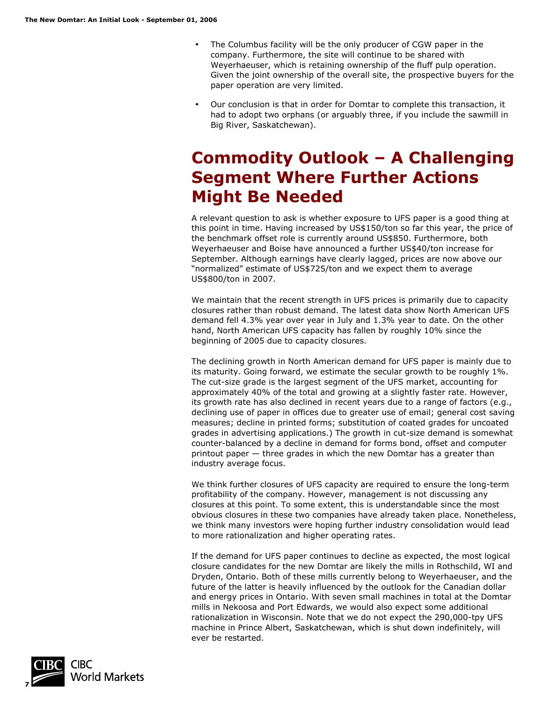- The Columbus facility will be the only producer of CGW paper in the company. Furthermore, the site will continue to be shared with Weyerhaeuser, which is retaining ownership of the fluff pulp operation. Given the joint ownership of the overall site, the prospective buyers for the paper operation are very limited.
- Our conclusion is that in order for Domtar to complete this transaction, it had to adopt two orphans (or arguably three, if you include the sawmill in Big River, Saskatchewan).

## **Commodity Outlook – A Challenging Segment Where Further Actions Might Be Needed**

A relevant question to ask is whether exposure to UFS paper is a good thing at this point in time. Having increased by US\$150/ton so far this year, the price of the benchmark offset role is currently around US\$850. Furthermore, both Weyerhaeuser and Boise have announced a further US\$40/ton increase for September. Although earnings have clearly lagged, prices are now above our "normalized" estimate of US\$725/ton and we expect them to average US\$800/ton in 2007.

We maintain that the recent strength in UFS prices is primarily due to capacity closures rather than robust demand. The latest data show North American UFS demand fell 4.3% year over year in July and 1.3% year to date. On the other hand, North American UFS capacity has fallen by roughly 10% since the beginning of 2005 due to capacity closures.

The declining growth in North American demand for UFS paper is mainly due to its maturity. Going forward, we estimate the secular growth to be roughly 1%. The cut-size grade is the largest segment of the UFS market, accounting for approximately 40% of the total and growing at a slightly faster rate. However, its growth rate has also declined in recent years due to a range of factors (e.g., declining use of paper in offices due to greater use of email; general cost saving measures; decline in printed forms; substitution of coated grades for uncoated grades in advertising applications.) The growth in cut-size demand is somewhat counter-balanced by a decline in demand for forms bond, offset and computer printout paper — three grades in which the new Domtar has a greater than industry average focus.

We think further closures of UFS capacity are required to ensure the long-term profitability of the company. However, management is not discussing any closures at this point. To some extent, this is understandable since the most obvious closures in these two companies have already taken place. Nonetheless, we think many investors were hoping further industry consolidation would lead to more rationalization and higher operating rates.

If the demand for UFS paper continues to decline as expected, the most logical closure candidates for the new Domtar are likely the mills in Rothschild, WI and Dryden, Ontario. Both of these mills currently belong to Weyerhaeuser, and the future of the latter is heavily influenced by the outlook for the Canadian dollar and energy prices in Ontario. With seven small machines in total at the Domtar mills in Nekoosa and Port Edwards, we would also expect some additional rationalization in Wisconsin. Note that we do not expect the 290,000-tpy UFS machine in Prince Albert, Saskatchewan, which is shut down indefinitely, will ever be restarted.

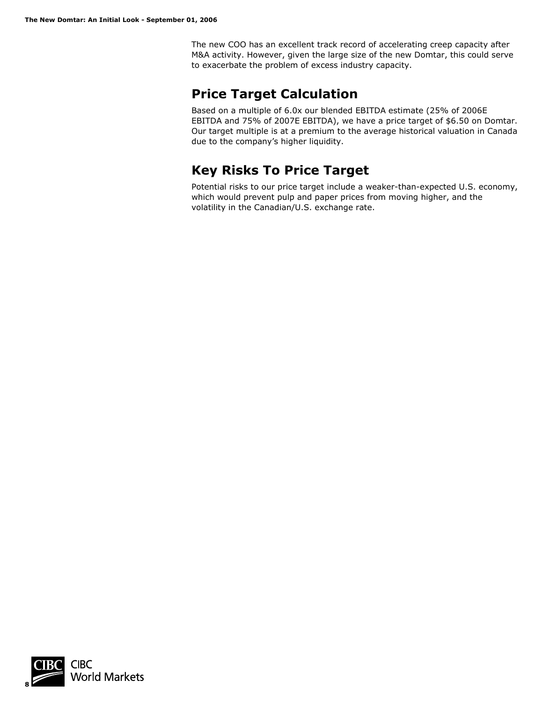The new COO has an excellent track record of accelerating creep capacity after M&A activity. However, given the large size of the new Domtar, this could serve to exacerbate the problem of excess industry capacity.

### **Price Target Calculation**

Based on a multiple of 6.0x our blended EBITDA estimate (25% of 2006E EBITDA and 75% of 2007E EBITDA), we have a price target of \$6.50 on Domtar. Our target multiple is at a premium to the average historical valuation in Canada due to the company's higher liquidity.

### **Key Risks To Price Target**

Potential risks to our price target include a weaker-than-expected U.S. economy, which would prevent pulp and paper prices from moving higher, and the volatility in the Canadian/U.S. exchange rate.

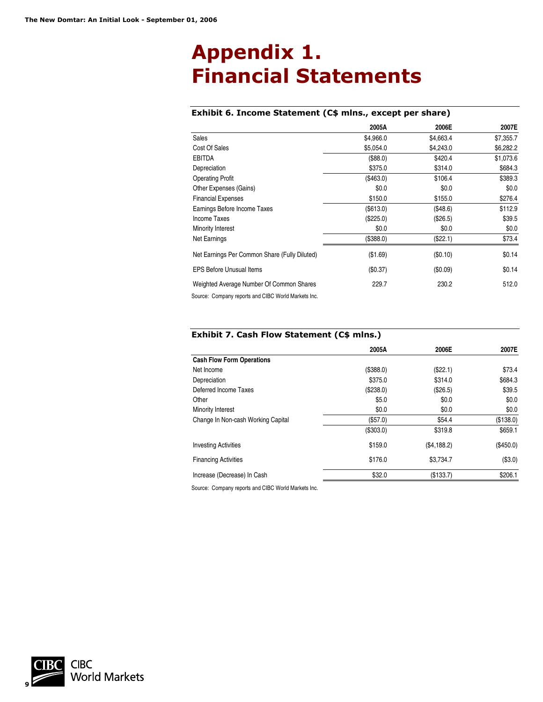# **Appendix 1. Financial Statements**

#### **Exhibit 6. Income Statement (C\$ mlns., except per share)**

|                                                     | 2005A     | 2006E     | 2007E     |
|-----------------------------------------------------|-----------|-----------|-----------|
| Sales                                               | \$4,966.0 | \$4,663.4 | \$7,355.7 |
| Cost Of Sales                                       | \$5,054.0 | \$4,243.0 | \$6,282.2 |
| <b>EBITDA</b>                                       | (\$88.0)  | \$420.4   | \$1,073.6 |
| Depreciation                                        | \$375.0   | \$314.0   | \$684.3   |
| <b>Operating Profit</b>                             | (\$463.0) | \$106.4   | \$389.3   |
| Other Expenses (Gains)                              | \$0.0     | \$0.0     | \$0.0     |
| <b>Financial Expenses</b>                           | \$150.0   | \$155.0   | \$276.4   |
| Earnings Before Income Taxes                        | (S613.0)  | (\$48.6)  | \$112.9   |
| Income Taxes                                        | (\$225.0) | (\$26.5)  | \$39.5    |
| Minority Interest                                   | \$0.0     | \$0.0     | \$0.0     |
| Net Earnings                                        | (\$388.0) | (\$22.1)  | \$73.4    |
| Net Earnings Per Common Share (Fully Diluted)       | (\$1.69)  | (\$0.10)  | \$0.14    |
| <b>EPS Before Unusual Items</b>                     | (\$0.37)  | (\$0.09)  | \$0.14    |
| Weighted Average Number Of Common Shares            | 229.7     | 230.2     | 512.0     |
| Source: Company reports and CIBC World Markets Inc. |           |           |           |

#### **Exhibit 7. Cash Flow Statement (C\$ mlns.)**

|                                    | 2005A     | 2006E       | 2007E     |
|------------------------------------|-----------|-------------|-----------|
| <b>Cash Flow Form Operations</b>   |           |             |           |
| Net Income                         | (\$388.0) | (\$22.1)    | \$73.4    |
| Depreciation                       | \$375.0   | \$314.0     | \$684.3   |
| Deferred Income Taxes              | (\$238.0) | (\$26.5)    | \$39.5    |
| Other                              | \$5.0     | \$0.0       | \$0.0     |
| Minority Interest                  | \$0.0     | \$0.0       | \$0.0     |
| Change In Non-cash Working Capital | (\$57.0)  | \$54.4      | (\$138.0) |
|                                    | (\$303.0) | \$319.8     | \$659.1   |
| <b>Investing Activities</b>        | \$159.0   | (\$4,188.2) | (\$450.0) |
| <b>Financing Activities</b>        | \$176.0   | \$3.734.7   | (\$3.0)   |
| Increase (Decrease) In Cash        | \$32.0    | (\$133.7)   | \$206.1   |

Source: Company reports and CIBC World Markets Inc.

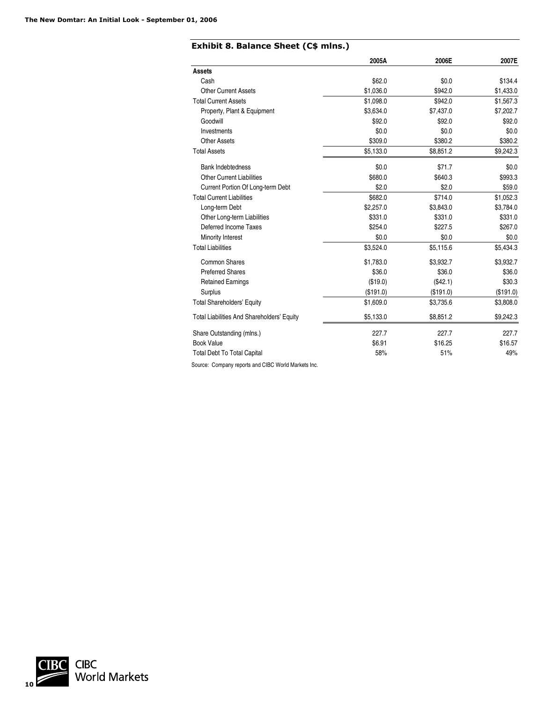#### **Exhibit 8. Balance Sheet (C\$ mlns.)**

|                                            | 2005A     | 2006E     | 2007E     |
|--------------------------------------------|-----------|-----------|-----------|
| <b>Assets</b>                              |           |           |           |
| Cash                                       | \$62.0    | \$0.0     | \$134.4   |
| <b>Other Current Assets</b>                | \$1,036.0 | \$942.0   | \$1,433.0 |
| <b>Total Current Assets</b>                | \$1,098.0 | \$942.0   | \$1,567.3 |
| Property, Plant & Equipment                | \$3,634.0 | \$7,437.0 | \$7,202.7 |
| Goodwill                                   | \$92.0    | \$92.0    | \$92.0    |
| Investments                                | \$0.0     | \$0.0     | \$0.0     |
| <b>Other Assets</b>                        | \$309.0   | \$380.2   | \$380.2   |
| <b>Total Assets</b>                        | \$5,133.0 | \$8,851.2 | \$9,242.3 |
| <b>Bank Indebtedness</b>                   | \$0.0     | \$71.7    | \$0.0     |
| <b>Other Current Liabilities</b>           | \$680.0   | \$640.3   | \$993.3   |
| Current Portion Of Long-term Debt          | \$2.0     | \$2.0     | \$59.0    |
| <b>Total Current Liabilities</b>           | \$682.0   | \$714.0   | \$1,052.3 |
| Long-term Debt                             | \$2,257.0 | \$3,843.0 | \$3,784.0 |
| Other Long-term Liabilities                | \$331.0   | \$331.0   | \$331.0   |
| Deferred Income Taxes                      | \$254.0   | \$227.5   | \$267.0   |
| Minority Interest                          | \$0.0     | \$0.0     | \$0.0\$   |
| <b>Total Liabilities</b>                   | \$3,524.0 | \$5,115.6 | \$5,434.3 |
| Common Shares                              | \$1,783.0 | \$3,932.7 | \$3,932.7 |
| <b>Preferred Shares</b>                    | \$36.0    | \$36.0    | \$36.0    |
| <b>Retained Earnings</b>                   | (\$19.0)  | (\$42.1)  | \$30.3    |
| Surplus                                    | (\$191.0) | (\$191.0) | (\$191.0) |
| <b>Total Shareholders' Equity</b>          | \$1,609.0 | \$3,735.6 | \$3,808.0 |
| Total Liabilities And Shareholders' Equity | \$5,133.0 | \$8,851.2 | \$9,242.3 |
| Share Outstanding (mlns.)                  | 227.7     | 227.7     | 227.7     |
| <b>Book Value</b>                          | \$6.91    | \$16.25   | \$16.57   |
| <b>Total Debt To Total Capital</b>         | 58%       | 51%       | 49%       |

Source: Company reports and CIBC World Markets Inc.

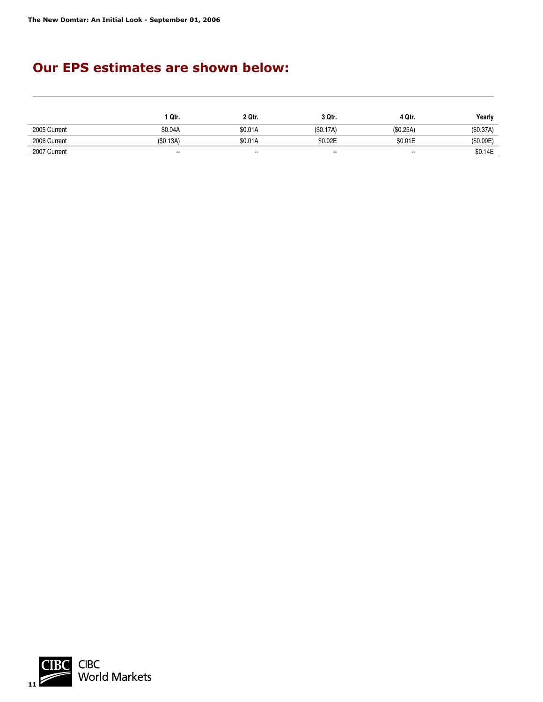### **Our EPS estimates are shown below:**

|              | 1 Qtr.                   | 2 Qtr.  | 3 Qtr.                   | 4 Qtr.                   | Yearly   |
|--------------|--------------------------|---------|--------------------------|--------------------------|----------|
| 2005 Current | \$0.04A                  | \$0.01A | (S0.17A)                 | (S0.25A)                 | (S0.37A) |
| 2006 Current | (S0.13A)                 | \$0.01A | \$0.02E                  | \$0.01E                  | (S0.09E) |
| 2007 Current | $\overline{\phantom{a}}$ | $\sim$  | $\overline{\phantom{a}}$ | $\overline{\phantom{a}}$ | \$0.14E  |

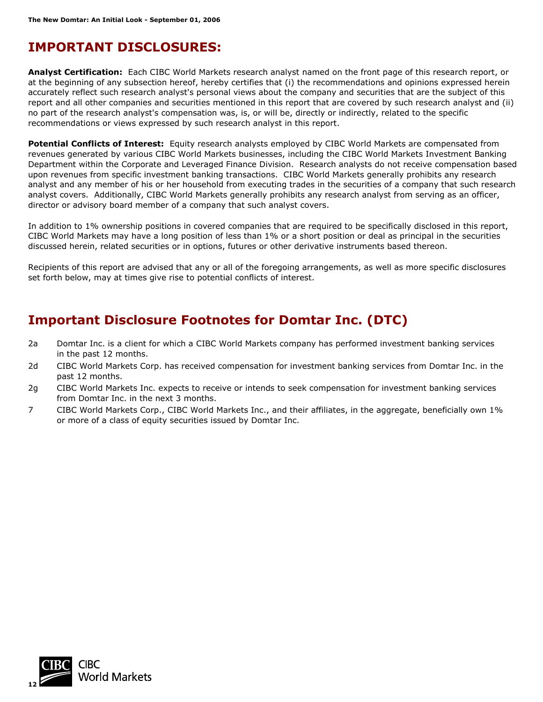### **IMPORTANT DISCLOSURES:**

**Analyst Certification:** Each CIBC World Markets research analyst named on the front page of this research report, or at the beginning of any subsection hereof, hereby certifies that (i) the recommendations and opinions expressed herein accurately reflect such research analyst's personal views about the company and securities that are the subject of this report and all other companies and securities mentioned in this report that are covered by such research analyst and (ii) no part of the research analyst's compensation was, is, or will be, directly or indirectly, related to the specific recommendations or views expressed by such research analyst in this report.

**Potential Conflicts of Interest:** Equity research analysts employed by CIBC World Markets are compensated from revenues generated by various CIBC World Markets businesses, including the CIBC World Markets Investment Banking Department within the Corporate and Leveraged Finance Division. Research analysts do not receive compensation based upon revenues from specific investment banking transactions. CIBC World Markets generally prohibits any research analyst and any member of his or her household from executing trades in the securities of a company that such research analyst covers. Additionally, CIBC World Markets generally prohibits any research analyst from serving as an officer, director or advisory board member of a company that such analyst covers.

In addition to 1% ownership positions in covered companies that are required to be specifically disclosed in this report, CIBC World Markets may have a long position of less than 1% or a short position or deal as principal in the securities discussed herein, related securities or in options, futures or other derivative instruments based thereon.

Recipients of this report are advised that any or all of the foregoing arrangements, as well as more specific disclosures set forth below, may at times give rise to potential conflicts of interest.

### **Important Disclosure Footnotes for Domtar Inc. (DTC)**

- 2a Domtar Inc. is a client for which a CIBC World Markets company has performed investment banking services in the past 12 months.
- 2d CIBC World Markets Corp. has received compensation for investment banking services from Domtar Inc. in the past 12 months.
- 2g CIBC World Markets Inc. expects to receive or intends to seek compensation for investment banking services from Domtar Inc. in the next 3 months.
- 7 CIBC World Markets Corp., CIBC World Markets Inc., and their affiliates, in the aggregate, beneficially own 1% or more of a class of equity securities issued by Domtar Inc.

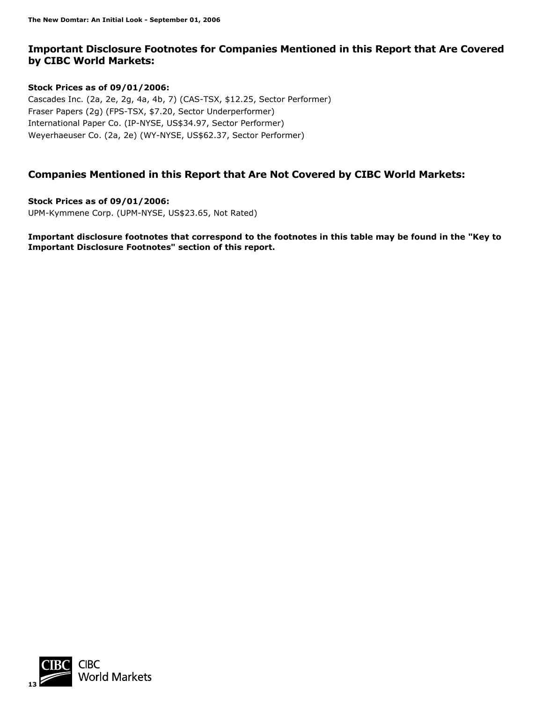#### **Important Disclosure Footnotes for Companies Mentioned in this Report that Are Covered by CIBC World Markets:**

#### **Stock Prices as of 09/01/2006:**

Cascades Inc. (2a, 2e, 2g, 4a, 4b, 7) (CAS-TSX, \$12.25, Sector Performer) Fraser Papers (2g) (FPS-TSX, \$7.20, Sector Underperformer) International Paper Co. (IP-NYSE, US\$34.97, Sector Performer) Weyerhaeuser Co. (2a, 2e) (WY-NYSE, US\$62.37, Sector Performer)

#### **Companies Mentioned in this Report that Are Not Covered by CIBC World Markets:**

**Stock Prices as of 09/01/2006:**  UPM-Kymmene Corp. (UPM-NYSE, US\$23.65, Not Rated)

**Important disclosure footnotes that correspond to the footnotes in this table may be found in the "Key to Important Disclosure Footnotes" section of this report.** 

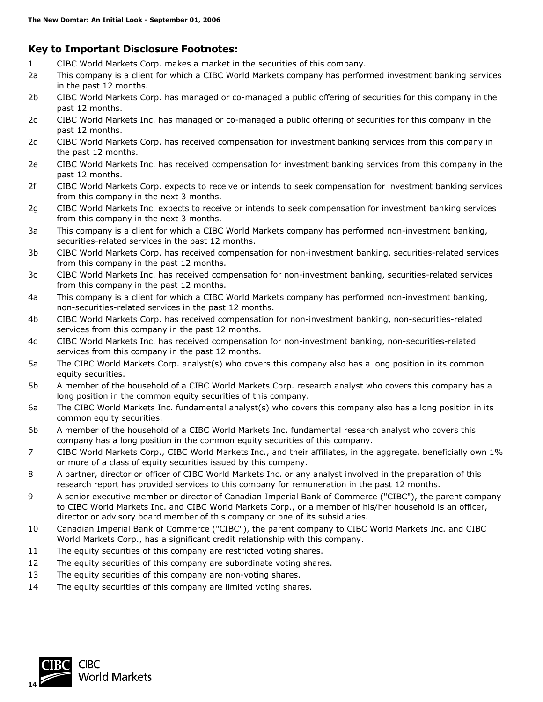#### **Key to Important Disclosure Footnotes:**

- 1 CIBC World Markets Corp. makes a market in the securities of this company.
- 2a This company is a client for which a CIBC World Markets company has performed investment banking services in the past 12 months.
- 2b CIBC World Markets Corp. has managed or co-managed a public offering of securities for this company in the past 12 months.
- 2c CIBC World Markets Inc. has managed or co-managed a public offering of securities for this company in the past 12 months.
- 2d CIBC World Markets Corp. has received compensation for investment banking services from this company in the past 12 months.
- 2e CIBC World Markets Inc. has received compensation for investment banking services from this company in the past 12 months.
- 2f CIBC World Markets Corp. expects to receive or intends to seek compensation for investment banking services from this company in the next 3 months.
- 2g CIBC World Markets Inc. expects to receive or intends to seek compensation for investment banking services from this company in the next 3 months.
- 3a This company is a client for which a CIBC World Markets company has performed non-investment banking, securities-related services in the past 12 months.
- 3b CIBC World Markets Corp. has received compensation for non-investment banking, securities-related services from this company in the past 12 months.
- 3c CIBC World Markets Inc. has received compensation for non-investment banking, securities-related services from this company in the past 12 months.
- 4a This company is a client for which a CIBC World Markets company has performed non-investment banking, non-securities-related services in the past 12 months.
- 4b CIBC World Markets Corp. has received compensation for non-investment banking, non-securities-related services from this company in the past 12 months.
- 4c CIBC World Markets Inc. has received compensation for non-investment banking, non-securities-related services from this company in the past 12 months.
- 5a The CIBC World Markets Corp. analyst(s) who covers this company also has a long position in its common equity securities.
- 5b A member of the household of a CIBC World Markets Corp. research analyst who covers this company has a long position in the common equity securities of this company.
- 6a The CIBC World Markets Inc. fundamental analyst(s) who covers this company also has a long position in its common equity securities.
- 6b A member of the household of a CIBC World Markets Inc. fundamental research analyst who covers this company has a long position in the common equity securities of this company.
- 7 CIBC World Markets Corp., CIBC World Markets Inc., and their affiliates, in the aggregate, beneficially own 1% or more of a class of equity securities issued by this company.
- 8 A partner, director or officer of CIBC World Markets Inc. or any analyst involved in the preparation of this research report has provided services to this company for remuneration in the past 12 months.
- 9 A senior executive member or director of Canadian Imperial Bank of Commerce ("CIBC"), the parent company to CIBC World Markets Inc. and CIBC World Markets Corp., or a member of his/her household is an officer, director or advisory board member of this company or one of its subsidiaries.
- 10 Canadian Imperial Bank of Commerce ("CIBC"), the parent company to CIBC World Markets Inc. and CIBC World Markets Corp., has a significant credit relationship with this company.
- 11 The equity securities of this company are restricted voting shares.
- 12 The equity securities of this company are subordinate voting shares.
- 13 The equity securities of this company are non-voting shares.
- 14 The equity securities of this company are limited voting shares.

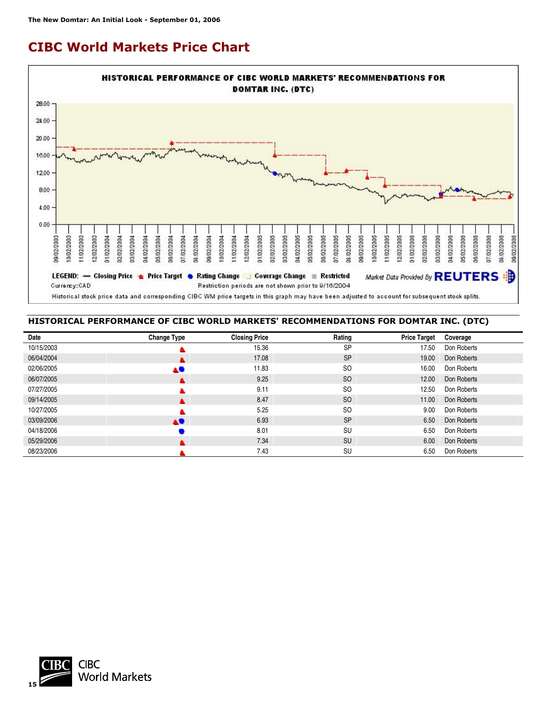## **CIBC World Markets Price Chart**



#### **HISTORICAL PERFORMANCE OF CIBC WORLD MARKETS' RECOMMENDATIONS FOR DOMTAR INC. (DTC)**

| Date       | <b>Change Type</b> | <b>Closing Price</b> | Rating        | <b>Price Target</b> | Coverage    |
|------------|--------------------|----------------------|---------------|---------------------|-------------|
| 10/15/2003 |                    | 15.36                | <b>SP</b>     | 17.50               | Don Roberts |
| 06/04/2004 |                    | 17.08                | <b>SP</b>     | 19.00               | Don Roberts |
| 02/06/2005 | AU.                | 11.83                | <sub>SO</sub> | 16.00               | Don Roberts |
| 06/07/2005 |                    | 9.25                 | <sub>SO</sub> | 12.00               | Don Roberts |
| 07/27/2005 |                    | 9.11                 | <sub>SO</sub> | 12.50               | Don Roberts |
| 09/14/2005 |                    | 8.47                 | <sub>SO</sub> | 11.00               | Don Roberts |
| 10/27/2005 |                    | 5.25                 | <sub>SO</sub> | 9.00                | Don Roberts |
| 03/09/2006 | AO                 | 6.93                 | <b>SP</b>     | 6.50                | Don Roberts |
| 04/18/2006 |                    | 8.01                 | SU            | 6.50                | Don Roberts |
| 05/29/2006 |                    | 7.34                 | <b>SU</b>     | 6.00                | Don Roberts |
| 08/23/2006 |                    | 7.43                 | SU            | 6.50                | Don Roberts |

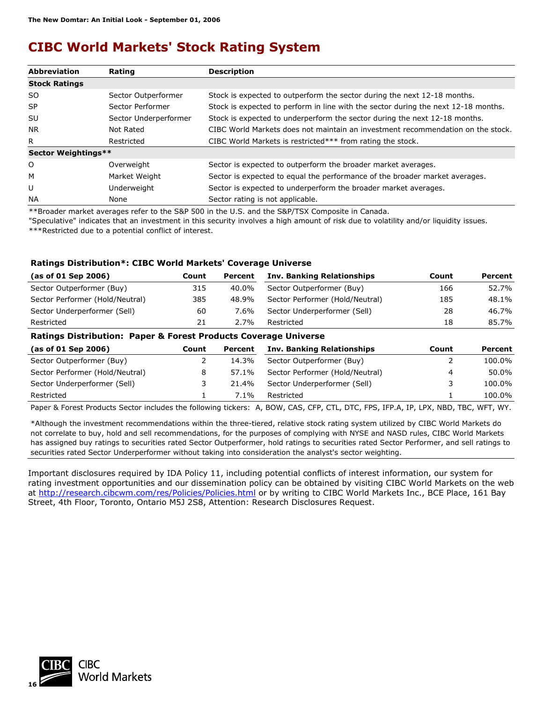## **CIBC World Markets' Stock Rating System**

| <b>Abbreviation</b>  | Rating                | <b>Description</b>                                                                 |
|----------------------|-----------------------|------------------------------------------------------------------------------------|
| <b>Stock Ratings</b> |                       |                                                                                    |
| SO.                  | Sector Outperformer   | Stock is expected to outperform the sector during the next 12-18 months.           |
| <b>SP</b>            | Sector Performer      | Stock is expected to perform in line with the sector during the next 12-18 months. |
| SU                   | Sector Underperformer | Stock is expected to underperform the sector during the next 12-18 months.         |
| NR.                  | Not Rated             | CIBC World Markets does not maintain an investment recommendation on the stock.    |
| R.                   | Restricted            | CIBC World Markets is restricted*** from rating the stock.                         |
| Sector Weightings**  |                       |                                                                                    |
| O                    | Overweight            | Sector is expected to outperform the broader market averages.                      |
| м                    | Market Weight         | Sector is expected to equal the performance of the broader market averages.        |
| U                    | Underweight           | Sector is expected to underperform the broader market averages.                    |
| <b>NA</b>            | None                  | Sector rating is not applicable.                                                   |

\*\*Broader market averages refer to the S&P 500 in the U.S. and the S&P/TSX Composite in Canada.

"Speculative" indicates that an investment in this security involves a high amount of risk due to volatility and/or liquidity issues. \*\*\*Restricted due to a potential conflict of interest.

#### **Ratings Distribution\*: CIBC World Markets' Coverage Universe**

| (as of 01 Sep 2006)                                                         | Count | Percent | Inv. Banking Relationships      | Count | Percent |  |  |
|-----------------------------------------------------------------------------|-------|---------|---------------------------------|-------|---------|--|--|
| Sector Outperformer (Buy)                                                   | 315   | 40.0%   | Sector Outperformer (Buy)       | 166   | 52.7%   |  |  |
| Sector Performer (Hold/Neutral)                                             | 385   | 48.9%   | Sector Performer (Hold/Neutral) | 185   | 48.1%   |  |  |
| Sector Underperformer (Sell)                                                | 60    | 7.6%    | Sector Underperformer (Sell)    | 28    | 46.7%   |  |  |
| Restricted                                                                  | 21    | 2.7%    | Restricted                      | 18    | 85.7%   |  |  |
| The block in the theodore. There we have a fine development of the beams of |       |         |                                 |       |         |  |  |

#### **Ratings Distribution: Paper & Forest Products Coverage Universe**

| (as of 01 Sep 2006)             | Count | Percent | <b>Inv. Banking Relationships</b> | Count | Percent |
|---------------------------------|-------|---------|-----------------------------------|-------|---------|
| Sector Outperformer (Buy)       |       | 14.3%   | Sector Outperformer (Buy)         |       | 100.0%  |
| Sector Performer (Hold/Neutral) |       | 57.1%   | Sector Performer (Hold/Neutral)   | 4     | 50.0%   |
| Sector Underperformer (Sell)    |       | 21.4%   | Sector Underperformer (Sell)      |       | 100.0%  |
| Restricted                      |       | $7.1\%$ | Restricted                        |       | 100.0%  |
|                                 |       |         |                                   |       |         |

Paper & Forest Products Sector includes the following tickers: A, BOW, CAS, CFP, CTL, DTC, FPS, IFP.A, IP, LPX, NBD, TBC, WFT, WY.

\*Although the investment recommendations within the three-tiered, relative stock rating system utilized by CIBC World Markets do not correlate to buy, hold and sell recommendations, for the purposes of complying with NYSE and NASD rules, CIBC World Markets has assigned buy ratings to securities rated Sector Outperformer, hold ratings to securities rated Sector Performer, and sell ratings to securities rated Sector Underperformer without taking into consideration the analyst's sector weighting.

Important disclosures required by IDA Policy 11, including potential conflicts of interest information, our system for rating investment opportunities and our dissemination policy can be obtained by visiting CIBC World Markets on the web at <http://research.cibcwm.com/res/Policies/Policies.html> or by writing to CIBC World Markets Inc., BCE Place, 161 Bay Street, 4th Floor, Toronto, Ontario M5J 2S8, Attention: Research Disclosures Request.